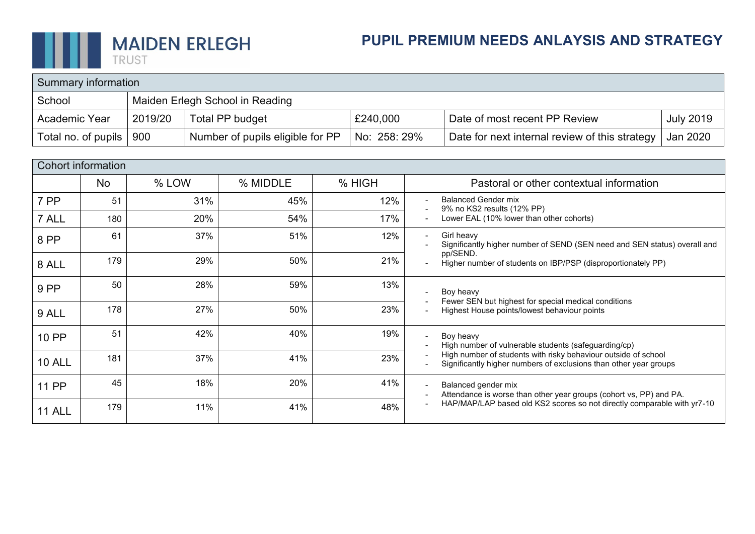

| Summary information |         |                                  |              |                                                |                  |  |  |  |  |
|---------------------|---------|----------------------------------|--------------|------------------------------------------------|------------------|--|--|--|--|
| School              |         | Maiden Erlegh School in Reading  |              |                                                |                  |  |  |  |  |
| Academic Year       | 2019/20 | Total PP budget                  | £240,000     | Date of most recent PP Review                  | <b>July 2019</b> |  |  |  |  |
| Total no. of pupils | 900     | Number of pupils eligible for PP | No: 258: 29% | Date for next internal review of this strategy | Jan 2020         |  |  |  |  |

|               | Cohort information |       |          |        |                                                                                                                                                                 |
|---------------|--------------------|-------|----------|--------|-----------------------------------------------------------------------------------------------------------------------------------------------------------------|
|               | <b>No</b>          | % LOW | % MIDDLE | % HIGH | Pastoral or other contextual information                                                                                                                        |
| 7 PP          | 51                 | 31%   | 45%      | 12%    | <b>Balanced Gender mix</b><br>9% no KS2 results (12% PP)                                                                                                        |
| 7 ALL         | 180                | 20%   | 54%      | 17%    | Lower EAL (10% lower than other cohorts)<br>$\overline{\phantom{a}}$                                                                                            |
| 8 PP          | 61                 | 37%   | 51%      | 12%    | Girl heavy<br>$\blacksquare$<br>Significantly higher number of SEND (SEN need and SEN status) overall and                                                       |
| 8 ALL         | 179                | 29%   | 50%      | 21%    | pp/SEND.<br>Higher number of students on IBP/PSP (disproportionately PP)<br>$\blacksquare$                                                                      |
| 9 PP          | 50                 | 28%   | 59%      | 13%    | Boy heavy<br>Fewer SEN but highest for special medical conditions                                                                                               |
| 9 ALL         | 178                | 27%   | 50%      | 23%    | Highest House points/lowest behaviour points                                                                                                                    |
| 10 PP         | 51                 | 42%   | 40%      | 19%    | Boy heavy<br>$\blacksquare$<br>High number of vulnerable students (safeguarding/cp)                                                                             |
| <b>10 ALL</b> | 181                | 37%   | 41%      | 23%    | High number of students with risky behaviour outside of school<br>$\overline{\phantom{a}}$<br>Significantly higher numbers of exclusions than other year groups |
| <b>11 PP</b>  | 45                 | 18%   | 20%      | 41%    | Balanced gender mix<br>$\blacksquare$<br>Attendance is worse than other year groups (cohort vs, PP) and PA.<br>$\overline{\phantom{a}}$                         |
| <b>11 ALL</b> | 179                | 11%   | 41%      | 48%    | HAP/MAP/LAP based old KS2 scores so not directly comparable with yr7-10                                                                                         |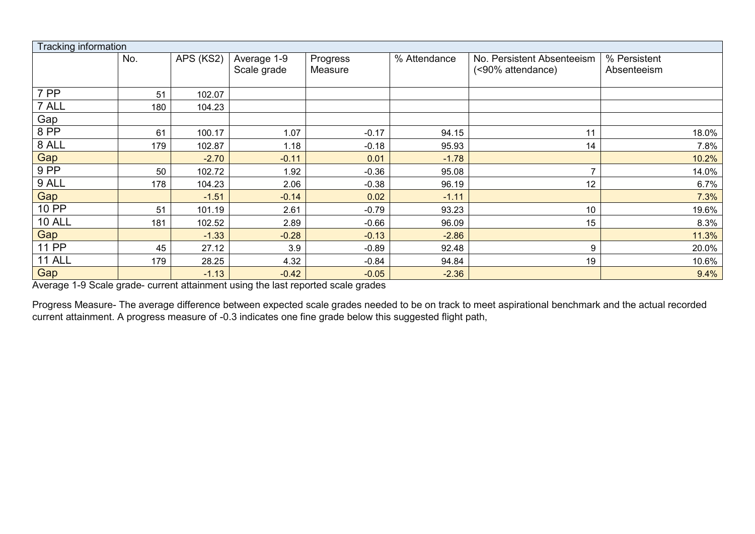| Tracking information |     |           |                            |                     |              |                                                 |                             |  |  |
|----------------------|-----|-----------|----------------------------|---------------------|--------------|-------------------------------------------------|-----------------------------|--|--|
|                      | No. | APS (KS2) | Average 1-9<br>Scale grade | Progress<br>Measure | % Attendance | No. Persistent Absenteeism<br>(<90% attendance) | % Persistent<br>Absenteeism |  |  |
|                      |     |           |                            |                     |              |                                                 |                             |  |  |
| 7 PP                 | 51  | 102.07    |                            |                     |              |                                                 |                             |  |  |
| 7 ALL                | 180 | 104.23    |                            |                     |              |                                                 |                             |  |  |
| Gap                  |     |           |                            |                     |              |                                                 |                             |  |  |
| 8 PP                 | 61  | 100.17    | 1.07                       | $-0.17$             | 94.15        | 11                                              | 18.0%                       |  |  |
| 8 ALL                | 179 | 102.87    | 1.18                       | $-0.18$             | 95.93        | 14                                              | 7.8%                        |  |  |
| Gap                  |     | $-2.70$   | $-0.11$                    | 0.01                | $-1.78$      |                                                 | 10.2%                       |  |  |
| $9$ PP               | 50  | 102.72    | 1.92                       | $-0.36$             | 95.08        | ⇁                                               | 14.0%                       |  |  |
| 9 ALL                | 178 | 104.23    | 2.06                       | $-0.38$             | 96.19        | 12                                              | 6.7%                        |  |  |
| Gap                  |     | $-1.51$   | $-0.14$                    | 0.02                | $-1.11$      |                                                 | 7.3%                        |  |  |
| 10 PP                | 51  | 101.19    | 2.61                       | $-0.79$             | 93.23        | 10                                              | 19.6%                       |  |  |
| <b>10 ALL</b>        | 181 | 102.52    | 2.89                       | $-0.66$             | 96.09        | 15                                              | 8.3%                        |  |  |
| Gap                  |     | $-1.33$   | $-0.28$                    | $-0.13$             | $-2.86$      |                                                 | 11.3%                       |  |  |
| <b>11 PP</b>         | 45  | 27.12     | 3.9                        | $-0.89$             | 92.48        | 9                                               | 20.0%                       |  |  |
| <b>11 ALL</b>        | 179 | 28.25     | 4.32                       | $-0.84$             | 94.84        | 19                                              | 10.6%                       |  |  |
| Gap                  |     | $-1.13$   | $-0.42$                    | $-0.05$             | $-2.36$      |                                                 | 9.4%                        |  |  |

Average 1-9 Scale grade- current attainment using the last reported scale grades

Progress Measure- The average difference between expected scale grades needed to be on track to meet aspirational benchmark and the actual recorded current attainment. A progress measure of -0.3 indicates one fine grade below this suggested flight path,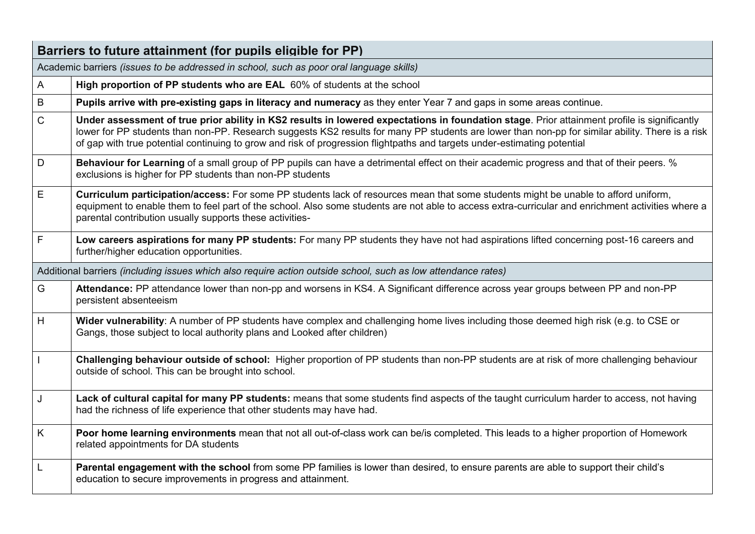|              | Barriers to future attainment (for pupils eligible for PP)                                                                                                                                                                                                                                                                                                                                                                   |
|--------------|------------------------------------------------------------------------------------------------------------------------------------------------------------------------------------------------------------------------------------------------------------------------------------------------------------------------------------------------------------------------------------------------------------------------------|
|              | Academic barriers (issues to be addressed in school, such as poor oral language skills)                                                                                                                                                                                                                                                                                                                                      |
| A            | High proportion of PP students who are EAL 60% of students at the school                                                                                                                                                                                                                                                                                                                                                     |
| $\sf B$      | Pupils arrive with pre-existing gaps in literacy and numeracy as they enter Year 7 and gaps in some areas continue.                                                                                                                                                                                                                                                                                                          |
| $\mathsf{C}$ | Under assessment of true prior ability in KS2 results in lowered expectations in foundation stage. Prior attainment profile is significantly<br>lower for PP students than non-PP. Research suggests KS2 results for many PP students are lower than non-pp for similar ability. There is a risk<br>of gap with true potential continuing to grow and risk of progression flightpaths and targets under-estimating potential |
| $\mathsf D$  | Behaviour for Learning of a small group of PP pupils can have a detrimental effect on their academic progress and that of their peers. %<br>exclusions is higher for PP students than non-PP students                                                                                                                                                                                                                        |
| $\mathsf E$  | Curriculum participation/access: For some PP students lack of resources mean that some students might be unable to afford uniform,<br>equipment to enable them to feel part of the school. Also some students are not able to access extra-curricular and enrichment activities where a<br>parental contribution usually supports these activities-                                                                          |
| F            | Low careers aspirations for many PP students: For many PP students they have not had aspirations lifted concerning post-16 careers and<br>further/higher education opportunities.                                                                                                                                                                                                                                            |
|              | Additional barriers (including issues which also require action outside school, such as low attendance rates)                                                                                                                                                                                                                                                                                                                |
| G            | Attendance: PP attendance lower than non-pp and worsens in KS4. A Significant difference across year groups between PP and non-PP<br>persistent absenteeism                                                                                                                                                                                                                                                                  |
| H            | Wider vulnerability: A number of PP students have complex and challenging home lives including those deemed high risk (e.g. to CSE or<br>Gangs, those subject to local authority plans and Looked after children)                                                                                                                                                                                                            |
|              | Challenging behaviour outside of school: Higher proportion of PP students than non-PP students are at risk of more challenging behaviour<br>outside of school. This can be brought into school.                                                                                                                                                                                                                              |
| J            | Lack of cultural capital for many PP students: means that some students find aspects of the taught curriculum harder to access, not having<br>had the richness of life experience that other students may have had.                                                                                                                                                                                                          |
| K            | Poor home learning environments mean that not all out-of-class work can be/is completed. This leads to a higher proportion of Homework<br>related appointments for DA students                                                                                                                                                                                                                                               |
|              | Parental engagement with the school from some PP families is lower than desired, to ensure parents are able to support their child's<br>education to secure improvements in progress and attainment.                                                                                                                                                                                                                         |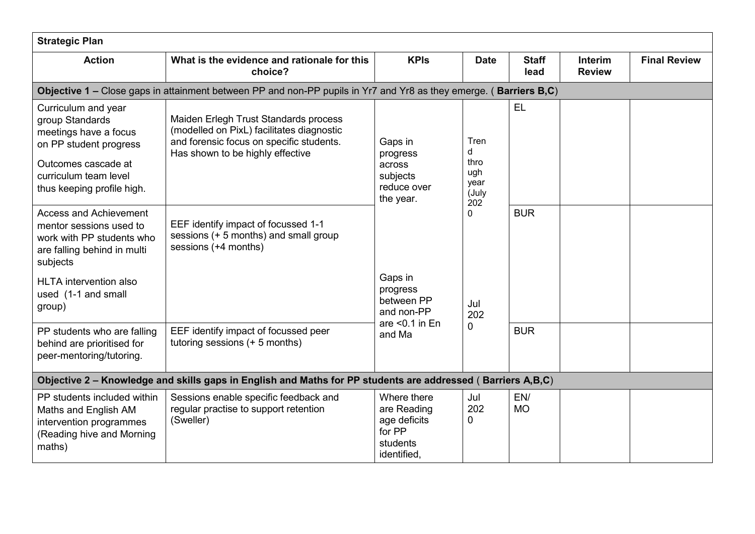| <b>Strategic Plan</b>                                                                                                                                                   |                                                                                                                                                                    |                                                                                 |                                                  |                      |                                 |                     |  |
|-------------------------------------------------------------------------------------------------------------------------------------------------------------------------|--------------------------------------------------------------------------------------------------------------------------------------------------------------------|---------------------------------------------------------------------------------|--------------------------------------------------|----------------------|---------------------------------|---------------------|--|
| <b>Action</b>                                                                                                                                                           | What is the evidence and rationale for this<br>choice?                                                                                                             | <b>KPIs</b>                                                                     | <b>Date</b>                                      | <b>Staff</b><br>lead | <b>Interim</b><br><b>Review</b> | <b>Final Review</b> |  |
|                                                                                                                                                                         | Objective 1 – Close gaps in attainment between PP and non-PP pupils in Yr7 and Yr8 as they emerge. (Barriers B,C)                                                  |                                                                                 |                                                  |                      |                                 |                     |  |
| Curriculum and year<br>group Standards<br>meetings have a focus<br>on PP student progress<br>Outcomes cascade at<br>curriculum team level<br>thus keeping profile high. | Maiden Erlegh Trust Standards process<br>(modelled on PixL) facilitates diagnostic<br>and forensic focus on specific students.<br>Has shown to be highly effective | Gaps in<br>progress<br>across<br>subjects<br>reduce over<br>the year.           | Tren<br>d<br>thro<br>ugh<br>year<br>(July<br>202 | <b>EL</b>            |                                 |                     |  |
| <b>Access and Achievement</b><br>mentor sessions used to<br>work with PP students who<br>are falling behind in multi<br>subjects                                        | EEF identify impact of focussed 1-1<br>sessions (+ 5 months) and small group<br>sessions (+4 months)                                                               |                                                                                 | $\Omega$                                         | <b>BUR</b>           |                                 |                     |  |
| <b>HLTA</b> intervention also<br>used (1-1 and small<br>group)                                                                                                          |                                                                                                                                                                    | Gaps in<br>progress<br>between PP<br>Jul<br>and non-PP                          | 202                                              |                      |                                 |                     |  |
| PP students who are falling<br>behind are prioritised for<br>peer-mentoring/tutoring.                                                                                   | EEF identify impact of focussed peer<br>tutoring sessions (+ 5 months)                                                                                             | are $< 0.1$ in En<br>and Ma                                                     | 0                                                | <b>BUR</b>           |                                 |                     |  |
|                                                                                                                                                                         | Objective 2 - Knowledge and skills gaps in English and Maths for PP students are addressed (Barriers A,B,C)                                                        |                                                                                 |                                                  |                      |                                 |                     |  |
| PP students included within<br>Maths and English AM<br>intervention programmes<br>(Reading hive and Morning<br>maths)                                                   | Sessions enable specific feedback and<br>regular practise to support retention<br>(Sweller)                                                                        | Where there<br>are Reading<br>age deficits<br>for PP<br>students<br>identified, | Jul<br>202<br>0                                  | EN/<br><b>MO</b>     |                                 |                     |  |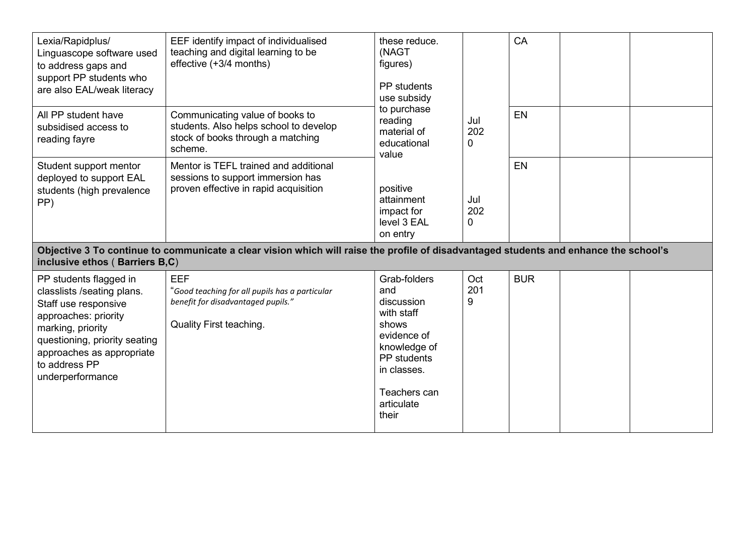| Lexia/Rapidplus/<br>Linguascope software used<br>to address gaps and<br>support PP students who<br>are also EAL/weak literacy                                                                                                | EEF identify impact of individualised<br>teaching and digital learning to be<br>effective (+3/4 months)                               | these reduce.<br>(NAGT<br>figures)<br>PP students<br>use subsidy<br>to purchase<br>reading<br>material of<br>educational<br>value                            |                 | CA         |  |  |                 |    |
|------------------------------------------------------------------------------------------------------------------------------------------------------------------------------------------------------------------------------|---------------------------------------------------------------------------------------------------------------------------------------|--------------------------------------------------------------------------------------------------------------------------------------------------------------|-----------------|------------|--|--|-----------------|----|
| All PP student have<br>subsidised access to<br>reading fayre                                                                                                                                                                 | Communicating value of books to<br>students. Also helps school to develop<br>stock of books through a matching<br>scheme.             |                                                                                                                                                              |                 |            |  |  | Jul<br>202<br>0 | EN |
| Student support mentor<br>deployed to support EAL<br>students (high prevalence<br>PP)                                                                                                                                        | Mentor is TEFL trained and additional<br>sessions to support immersion has<br>proven effective in rapid acquisition                   | positive<br>attainment<br>impact for<br>level 3 EAL<br>on entry                                                                                              | Jul<br>202<br>0 | EN         |  |  |                 |    |
| inclusive ethos (Barriers B,C)                                                                                                                                                                                               | Objective 3 To continue to communicate a clear vision which will raise the profile of disadvantaged students and enhance the school's |                                                                                                                                                              |                 |            |  |  |                 |    |
| PP students flagged in<br>classlists /seating plans.<br>Staff use responsive<br>approaches: priority<br>marking, priority<br>questioning, priority seating<br>approaches as appropriate<br>to address PP<br>underperformance | <b>EEF</b><br>"Good teaching for all pupils has a particular<br>benefit for disadvantaged pupils."<br><b>Quality First teaching.</b>  | Grab-folders<br>and<br>discussion<br>with staff<br>shows<br>evidence of<br>knowledge of<br>PP students<br>in classes.<br>Teachers can<br>articulate<br>their | Oct<br>201<br>9 | <b>BUR</b> |  |  |                 |    |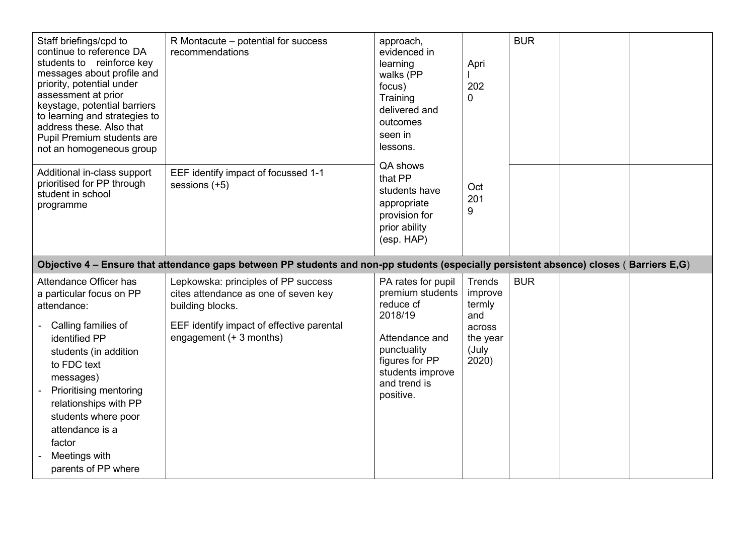| Staff briefings/cpd to<br>continue to reference DA<br>students to reinforce key<br>messages about profile and<br>priority, potential under<br>assessment at prior<br>keystage, potential barriers<br>to learning and strategies to<br>address these. Also that<br>Pupil Premium students are<br>not an homogeneous group | R Montacute - potential for success<br>recommendations                                                                                                                  | approach,<br>evidenced in<br>learning<br>walks (PP<br>focus)<br>Training<br>delivered and<br>outcomes<br>seen in<br>lessons.                                       | Apri<br>202<br>0                                                                  | <b>BUR</b> |  |
|--------------------------------------------------------------------------------------------------------------------------------------------------------------------------------------------------------------------------------------------------------------------------------------------------------------------------|-------------------------------------------------------------------------------------------------------------------------------------------------------------------------|--------------------------------------------------------------------------------------------------------------------------------------------------------------------|-----------------------------------------------------------------------------------|------------|--|
| Additional in-class support<br>prioritised for PP through<br>student in school<br>programme                                                                                                                                                                                                                              | EEF identify impact of focussed 1-1<br>sessions (+5)                                                                                                                    | QA shows<br>that PP<br>students have<br>appropriate<br>provision for<br>prior ability<br>(esp. HAP)                                                                | Oct<br>201<br>9                                                                   |            |  |
|                                                                                                                                                                                                                                                                                                                          | Objective 4 - Ensure that attendance gaps between PP students and non-pp students (especially persistent absence) closes (Barriers E,G)                                 |                                                                                                                                                                    |                                                                                   |            |  |
| Attendance Officer has<br>a particular focus on PP<br>attendance:<br>Calling families of<br>identified PP<br>students (in addition<br>to FDC text<br>messages)<br><b>Prioritising mentoring</b><br>relationships with PP<br>students where poor<br>attendance is a<br>factor<br>Meetings with<br>parents of PP where     | Lepkowska: principles of PP success<br>cites attendance as one of seven key<br>building blocks.<br>EEF identify impact of effective parental<br>engagement (+ 3 months) | PA rates for pupil<br>premium students<br>reduce cf<br>2018/19<br>Attendance and<br>punctuality<br>figures for PP<br>students improve<br>and trend is<br>positive. | <b>Trends</b><br>improve<br>termly<br>and<br>across<br>the year<br>(July<br>2020) | <b>BUR</b> |  |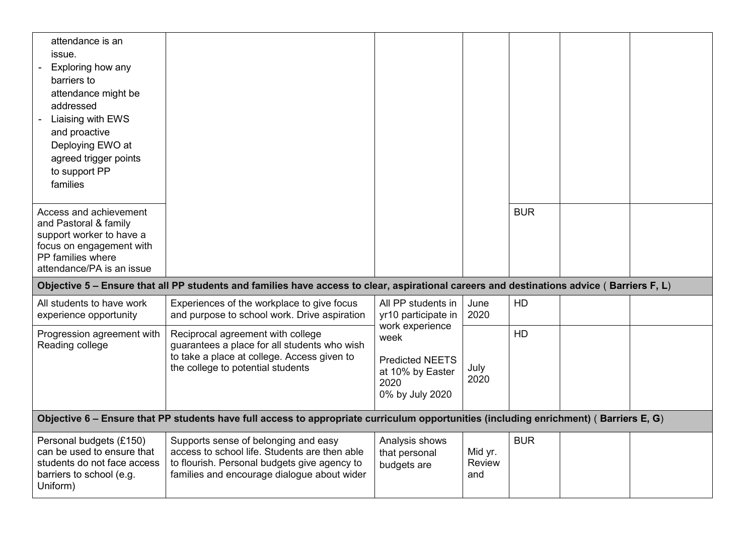| attendance is an<br>issue.<br>Exploring how any<br>barriers to<br>attendance might be<br>addressed<br>Liaising with EWS<br>and proactive<br>Deploying EWO at<br>agreed trigger points<br>to support PP<br>families<br>Access and achievement<br>and Pastoral & family |                                                                                                                                                                                      |                                                                                                  |                          | <b>BUR</b> |  |
|-----------------------------------------------------------------------------------------------------------------------------------------------------------------------------------------------------------------------------------------------------------------------|--------------------------------------------------------------------------------------------------------------------------------------------------------------------------------------|--------------------------------------------------------------------------------------------------|--------------------------|------------|--|
| support worker to have a<br>focus on engagement with<br>PP families where<br>attendance/PA is an issue                                                                                                                                                                |                                                                                                                                                                                      |                                                                                                  |                          |            |  |
|                                                                                                                                                                                                                                                                       | Objective 5 – Ensure that all PP students and families have access to clear, aspirational careers and destinations advice (Barriers F, L)                                            |                                                                                                  |                          |            |  |
| All students to have work<br>experience opportunity                                                                                                                                                                                                                   | Experiences of the workplace to give focus<br>and purpose to school work. Drive aspiration                                                                                           | All PP students in<br>yr10 participate in                                                        | June<br>2020             | <b>HD</b>  |  |
| Progression agreement with<br>Reading college                                                                                                                                                                                                                         | Reciprocal agreement with college<br>guarantees a place for all students who wish<br>to take a place at college. Access given to<br>the college to potential students                | work experience<br>week<br><b>Predicted NEETS</b><br>at 10% by Easter<br>2020<br>0% by July 2020 | July<br>2020             | <b>HD</b>  |  |
|                                                                                                                                                                                                                                                                       | Objective 6 - Ensure that PP students have full access to appropriate curriculum opportunities (including enrichment) (Barriers E, G)                                                |                                                                                                  |                          |            |  |
| Personal budgets (£150)<br>can be used to ensure that<br>students do not face access<br>barriers to school (e.g.<br>Uniform)                                                                                                                                          | Supports sense of belonging and easy<br>access to school life. Students are then able<br>to flourish. Personal budgets give agency to<br>families and encourage dialogue about wider | Analysis shows<br>that personal<br>budgets are                                                   | Mid yr.<br>Review<br>and | <b>BUR</b> |  |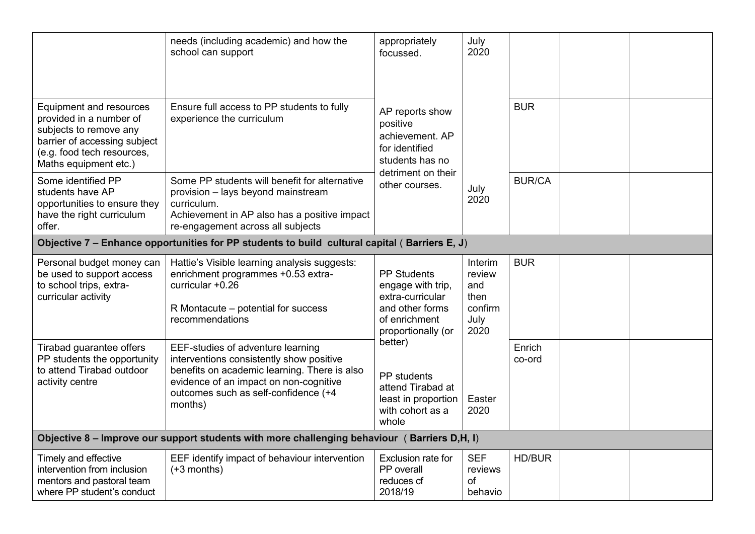|                                                                                                                                                                            | needs (including academic) and how the<br>school can support                                                                                                                                                               | appropriately<br>focussed.                                                                                            | July<br>2020                                                |                  |               |  |  |  |  |
|----------------------------------------------------------------------------------------------------------------------------------------------------------------------------|----------------------------------------------------------------------------------------------------------------------------------------------------------------------------------------------------------------------------|-----------------------------------------------------------------------------------------------------------------------|-------------------------------------------------------------|------------------|---------------|--|--|--|--|
| <b>Equipment and resources</b><br>provided in a number of<br>subjects to remove any<br>barrier of accessing subject<br>(e.g. food tech resources,<br>Maths equipment etc.) | Ensure full access to PP students to fully<br>experience the curriculum                                                                                                                                                    | AP reports show<br>positive<br>achievement. AP<br>for identified<br>students has no                                   |                                                             | <b>BUR</b>       |               |  |  |  |  |
| Some identified PP<br>students have AP<br>opportunities to ensure they<br>have the right curriculum<br>offer.                                                              | Some PP students will benefit for alternative<br>provision - lays beyond mainstream<br>curriculum.<br>Achievement in AP also has a positive impact<br>re-engagement across all subjects                                    | detriment on their<br>other courses.                                                                                  |                                                             | July<br>2020     | <b>BUR/CA</b> |  |  |  |  |
|                                                                                                                                                                            | Objective 7 - Enhance opportunities for PP students to build cultural capital (Barriers E, J)                                                                                                                              |                                                                                                                       |                                                             |                  |               |  |  |  |  |
| Personal budget money can<br>be used to support access<br>to school trips, extra-<br>curricular activity                                                                   | Hattie's Visible learning analysis suggests:<br>enrichment programmes +0.53 extra-<br>curricular +0.26<br>R Montacute - potential for success<br>recommendations                                                           | <b>PP Students</b><br>engage with trip,<br>extra-curricular<br>and other forms<br>of enrichment<br>proportionally (or | Interim<br>review<br>and<br>then<br>confirm<br>July<br>2020 | <b>BUR</b>       |               |  |  |  |  |
| Tirabad guarantee offers<br>PP students the opportunity<br>to attend Tirabad outdoor<br>activity centre                                                                    | EEF-studies of adventure learning<br>interventions consistently show positive<br>benefits on academic learning. There is also<br>evidence of an impact on non-cognitive<br>outcomes such as self-confidence (+4<br>months) | better)<br>PP students<br>attend Tirabad at<br>least in proportion<br>with cohort as a<br>whole                       | Easter<br>2020                                              | Enrich<br>co-ord |               |  |  |  |  |
|                                                                                                                                                                            | Objective 8 - Improve our support students with more challenging behaviour (Barriers D,H, I)                                                                                                                               |                                                                                                                       |                                                             |                  |               |  |  |  |  |
| Timely and effective<br>intervention from inclusion<br>mentors and pastoral team<br>where PP student's conduct                                                             | EEF identify impact of behaviour intervention<br>$(+3$ months)                                                                                                                                                             | Exclusion rate for<br>PP overall<br>reduces cf<br>2018/19                                                             | <b>SEF</b><br>reviews<br>of<br>behavio                      | <b>HD/BUR</b>    |               |  |  |  |  |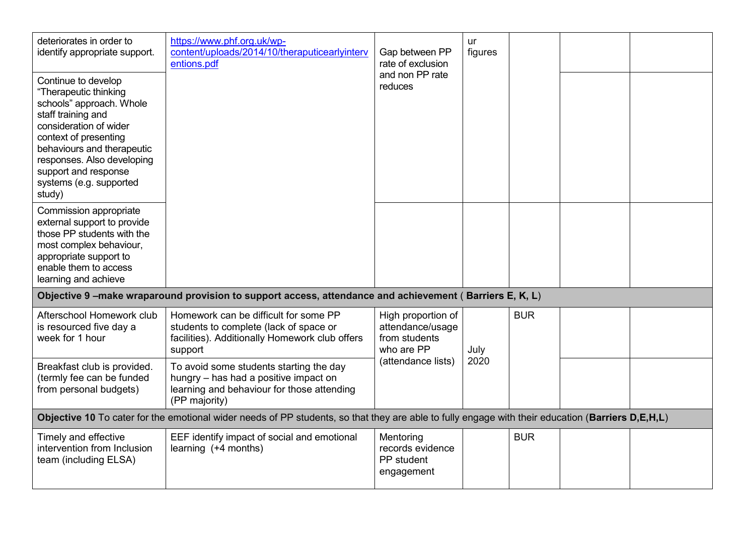| deteriorates in order to<br>identify appropriate support.<br>Continue to develop<br>"Therapeutic thinking<br>schools" approach. Whole<br>staff training and<br>consideration of wider<br>context of presenting<br>behaviours and therapeutic<br>responses. Also developing<br>support and response<br>systems (e.g. supported<br>study) | https://www.phf.org.uk/wp-<br>content/uploads/2014/10/theraputicearlyinterv<br>entions.pdf                                                        | Gap between PP<br>rate of exclusion<br>and non PP rate<br>reduces     | ur<br>figures |            |  |
|-----------------------------------------------------------------------------------------------------------------------------------------------------------------------------------------------------------------------------------------------------------------------------------------------------------------------------------------|---------------------------------------------------------------------------------------------------------------------------------------------------|-----------------------------------------------------------------------|---------------|------------|--|
| Commission appropriate<br>external support to provide<br>those PP students with the<br>most complex behaviour,<br>appropriate support to<br>enable them to access<br>learning and achieve                                                                                                                                               |                                                                                                                                                   |                                                                       |               |            |  |
|                                                                                                                                                                                                                                                                                                                                         | Objective 9-make wraparound provision to support access, attendance and achievement (Barriers E, K, L)                                            |                                                                       |               |            |  |
| Afterschool Homework club<br>is resourced five day a<br>week for 1 hour                                                                                                                                                                                                                                                                 | Homework can be difficult for some PP<br>students to complete (lack of space or<br>facilities). Additionally Homework club offers<br>support      | High proportion of<br>attendance/usage<br>from students<br>who are PP | July          | <b>BUR</b> |  |
| Breakfast club is provided.<br>(termly fee can be funded<br>from personal budgets)                                                                                                                                                                                                                                                      | To avoid some students starting the day<br>hungry - has had a positive impact on<br>learning and behaviour for those attending<br>(PP majority)   | (attendance lists)                                                    | 2020          |            |  |
|                                                                                                                                                                                                                                                                                                                                         | Objective 10 To cater for the emotional wider needs of PP students, so that they are able to fully engage with their education (Barriers D,E,H,L) |                                                                       |               |            |  |
| Timely and effective<br>intervention from Inclusion<br>team (including ELSA)                                                                                                                                                                                                                                                            | EEF identify impact of social and emotional<br>learning (+4 months)                                                                               | Mentoring<br>records evidence<br>PP student<br>engagement             |               | <b>BUR</b> |  |